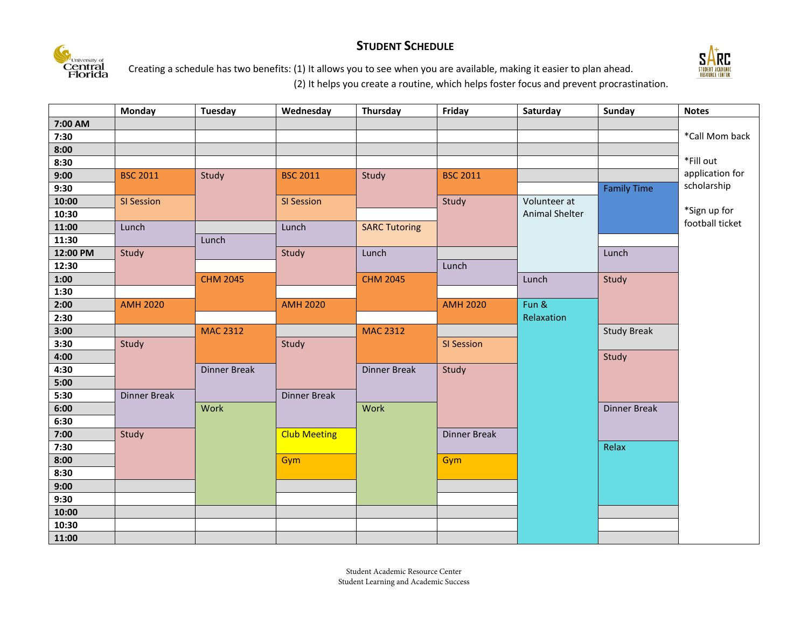## **STUDENT SCHEDULE**





Creating a schedule has two benefits: (1) It allows you to see when you are available, making it easier to plan ahead.

(2) It helps you create a routine, which helps foster focus and prevent procrastination.

|          | <b>Monday</b>       | <b>Tuesday</b>      | Wednesday           | Thursday             | Friday              | Saturday       | Sunday              | <b>Notes</b>    |
|----------|---------------------|---------------------|---------------------|----------------------|---------------------|----------------|---------------------|-----------------|
| 7:00 AM  |                     |                     |                     |                      |                     |                |                     |                 |
| 7:30     |                     |                     |                     |                      |                     |                |                     | *Call Mom back  |
| 8:00     |                     |                     |                     |                      |                     |                |                     |                 |
| 8:30     |                     |                     |                     |                      |                     |                |                     | *Fill out       |
| 9:00     | <b>BSC 2011</b>     | Study               | <b>BSC 2011</b>     | Study                | <b>BSC 2011</b>     |                |                     | application for |
| 9:30     |                     |                     |                     |                      |                     |                | <b>Family Time</b>  | scholarship     |
| 10:00    | <b>SI Session</b>   |                     | SI Session          |                      | Study               | Volunteer at   |                     |                 |
| 10:30    |                     |                     |                     |                      |                     | Animal Shelter |                     | *Sign up for    |
| 11:00    | Lunch               |                     | Lunch               | <b>SARC Tutoring</b> |                     |                |                     | football ticket |
| 11:30    |                     | Lunch               |                     |                      |                     |                |                     |                 |
| 12:00 PM | Study               |                     | Study               | Lunch                |                     |                | Lunch               |                 |
| 12:30    |                     |                     |                     |                      | Lunch               |                |                     |                 |
| 1:00     |                     | <b>CHM 2045</b>     |                     | <b>CHM 2045</b>      |                     | Lunch          | Study               |                 |
| 1:30     |                     |                     |                     |                      |                     |                |                     |                 |
| 2:00     | <b>AMH 2020</b>     |                     | <b>AMH 2020</b>     |                      | <b>AMH 2020</b>     | Fun &          |                     |                 |
| 2:30     |                     |                     |                     |                      |                     | Relaxation     |                     |                 |
| 3:00     |                     | <b>MAC 2312</b>     |                     | <b>MAC 2312</b>      |                     |                | <b>Study Break</b>  |                 |
| 3:30     | Study               |                     | Study               |                      | SI Session          |                |                     |                 |
| 4:00     |                     |                     |                     |                      |                     |                | Study               |                 |
| 4:30     |                     | <b>Dinner Break</b> |                     | <b>Dinner Break</b>  | Study               |                |                     |                 |
| 5:00     |                     |                     |                     |                      |                     |                |                     |                 |
| 5:30     | <b>Dinner Break</b> |                     | <b>Dinner Break</b> |                      |                     |                |                     |                 |
| 6:00     |                     | Work                |                     | Work                 |                     |                | <b>Dinner Break</b> |                 |
| 6:30     |                     |                     |                     |                      |                     |                |                     |                 |
| 7:00     | Study               |                     | <b>Club Meeting</b> |                      | <b>Dinner Break</b> |                |                     |                 |
| 7:30     |                     |                     |                     |                      |                     |                | Relax               |                 |
| 8:00     |                     |                     | Gym                 |                      | Gym                 |                |                     |                 |
| 8:30     |                     |                     |                     |                      |                     |                |                     |                 |
| 9:00     |                     |                     |                     |                      |                     |                |                     |                 |
| 9:30     |                     |                     |                     |                      |                     |                |                     |                 |
| 10:00    |                     |                     |                     |                      |                     |                |                     |                 |
| 10:30    |                     |                     |                     |                      |                     |                |                     |                 |
| 11:00    |                     |                     |                     |                      |                     |                |                     |                 |